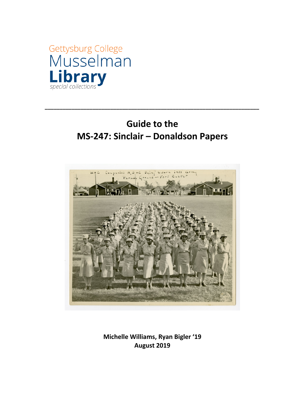

# **Guide to the MS-247: Sinclair – Donaldson Papers**

**\_\_\_\_\_\_\_\_\_\_\_\_\_\_\_\_\_\_\_\_\_\_\_\_\_\_\_\_\_\_\_\_\_\_\_\_\_\_\_\_\_\_\_\_\_\_\_\_\_\_\_\_\_\_\_\_\_\_\_\_\_\_\_\_\_\_\_\_\_\_\_\_**



**Michelle Williams, Ryan Bigler '19 August 2019**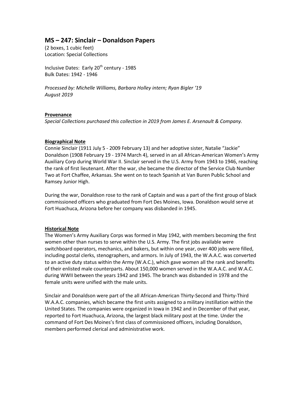# **MS – 247: Sinclair – Donaldson Papers**

(2 boxes, 1 cubic feet) Location: Special Collections

Inclusive Dates: Early  $20<sup>th</sup>$  century - 1985 Bulk Dates: 1942 - 1946

*Processed by: Michelle Williams, Barbara Holley intern; Ryan Bigler '19 August 2019*

## **Provenance**

*Special Collections purchased this collection in 2019 from James E. Arsenault & Company.*

## **Biographical Note**

Connie Sinclair (1911 July 5 - 2009 February 13) and her adoptive sister, Natalie "Jackie" Donaldson (1908 February 19 - 1974 March 4), served in an all African-American Women's Army Auxiliary Corp during World War II. Sinclair served in the U.S. Army from 1943 to 1946, reaching the rank of first lieutenant. After the war, she became the director of the Service Club Number Two at Fort Chaffee, Arkansas. She went on to teach Spanish at Van Buren Public School and Ramsey Junior High.

During the war, Donaldson rose to the rank of Captain and was a part of the first group of black commissioned officers who graduated from Fort Des Moines, Iowa. Donaldson would serve at Fort Huachuca, Arizona before her company was disbanded in 1945.

## **Historical Note**

The Women's Army Auxiliary Corps was formed in May 1942, with members becoming the first women other than nurses to serve within the U.S. Army. The first jobs available were switchboard operators, mechanics, and bakers, but within one year, over 400 jobs were filled, including postal clerks, stenographers, and armors. In July of 1943, the W.A.A.C. was converted to an active duty status within the Army (W.A.C.), which gave women all the rank and benefits of their enlisted male counterparts. About 150,000 women served in the W.A.A.C. and W.A.C. during WWII between the years 1942 and 1945. The branch was disbanded in 1978 and the female units were unified with the male units.

Sinclair and Donaldson were part of the all African-American Thirty-Second and Thirty-Third W.A.A.C. companies, which became the first units assigned to a military instillation within the United States. The companies were organized in Iowa in 1942 and in December of that year, reported to Fort Huachuca, Arizona, the largest black military post at the time. Under the command of Fort Des Moines's first class of commissioned officers, including Donaldson, members performed clerical and administrative work.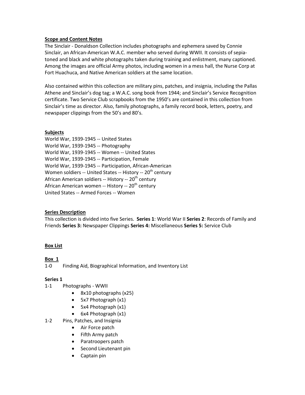#### **Scope and Content Notes**

The Sinclair - Donaldson Collection includes photographs and ephemera saved by Connie Sinclair, an African-American W.A.C. member who served during WWII. It consists of sepiatoned and black and white photographs taken during training and enlistment, many captioned. Among the images are official Army photos, including women in a mess hall, the Nurse Corp at Fort Huachuca, and Native American soldiers at the same location.

Also contained within this collection are military pins, patches, and insignia, including the Pallas Athene and Sinclair's dog tag; a W.A.C. song book from 1944; and Sinclair's Service Recognition certificate. Two Service Club scrapbooks from the 1950's are contained in this collection from Sinclair's time as director. Also, family photographs, a family record book, letters, poetry, and newspaper clippings from the 50's and 80's.

## **Subjects**

[World War, 1939-1945 --](https://gettysburg.primo.exlibrisgroup.com/discovery/search?query=sub%2Cexact%2CWorld%20War%2C%201939-1945%20--%20United%20States%2CAND&vid=01GETTYSBURG_INST%3AMUSCAT&mode=advanced) United States World War, 1939-1945 -- Photography World War, 1939-1945 -- Women -- United States World War, 1939-1945 -- Participation, Female World War, 1939-1945 -- Participation, African-American Women soldiers -- United States -- History --  $20<sup>th</sup>$  century African American soldiers -- History --  $20<sup>th</sup>$  century African American women -- History -- 20<sup>th</sup> century United States -- Armed Forces -- Women

#### **Series Description**

This collection is divided into five Series. **Series 1**: World War II **Series 2**: Records of Family and Friends **Series 3:** Newspaper Clippings **Series 4:** Miscellaneous **Series 5:** Service Club

#### **Box List**

## **Box 1**

1-0 Finding Aid, Biographical Information, and Inventory List

## **Series 1**

- 1-1 Photographs WWII
	- 8x10 photographs (x25)
	- 5x7 Photograph (x1)
	- 5x4 Photograph (x1)
	- 6x4 Photograph (x1)
- 1-2 Pins, Patches, and Insignia
	- Air Force patch
	- Fifth Army patch
	- Paratroopers patch
	- Second Lieutenant pin
	- Captain pin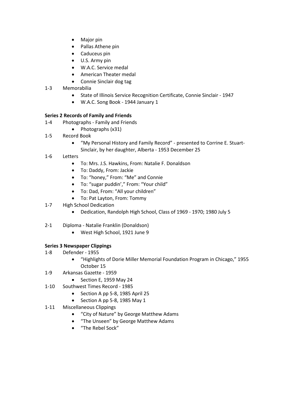- Major pin
- Pallas Athene pin
- Caduceus pin
- U.S. Army pin
- W.A.C. Service medal
- American Theater medal
- Connie Sinclair dog tag
- 1-3 Memorabilia
	- State of Illinois Service Recognition Certificate, Connie Sinclair 1947
	- W.A.C. Song Book 1944 January 1

## **Series 2 Records of Family and Friends**

- 1-4 Photographs Family and Friends
	- Photographs (x31)
- 1-5 Record Book
	- "My Personal History and Family Record" presented to Corrine E. Stuart-Sinclair, by her daughter, Alberta - 1953 December 25
- 1-6 Letters
	- To: Mrs. J.S. Hawkins, From: Natalie F. Donaldson
	- To: Daddy, From: Jackie
	- To: "honey," From: "Me" and Connie
	- To: "sugar puddin'," From: "Your child"
	- To: Dad, From: "All your children"
	- To: Pat Layton, From: Tommy
- 1-7 High School Dedication
	- Dedication, Randolph High School, Class of 1969 1970; 1980 July 5
- 2-1 Diploma Natalie Franklin (Donaldson)
	- West High School, 1921 June 9

## **Series 3 Newspaper Clippings**

- 1-8 Defender 1955
	- "Highlights of Dorie Miller Memorial Foundation Program in Chicago," 1955 October 15
- 1-9 Arkansas Gazette 1959
	- Section E, 1959 May 24
- 1-10 Southwest Times Record 1985
	- Section A pp 5-8, 1985 April 25
	- Section A pp 5-8, 1985 May 1
- 1-11 Miscellaneous Clippings
	- "City of Nature" by George Matthew Adams
	- "The Unseen" by George Matthew Adams
	- "The Rebel Sock"